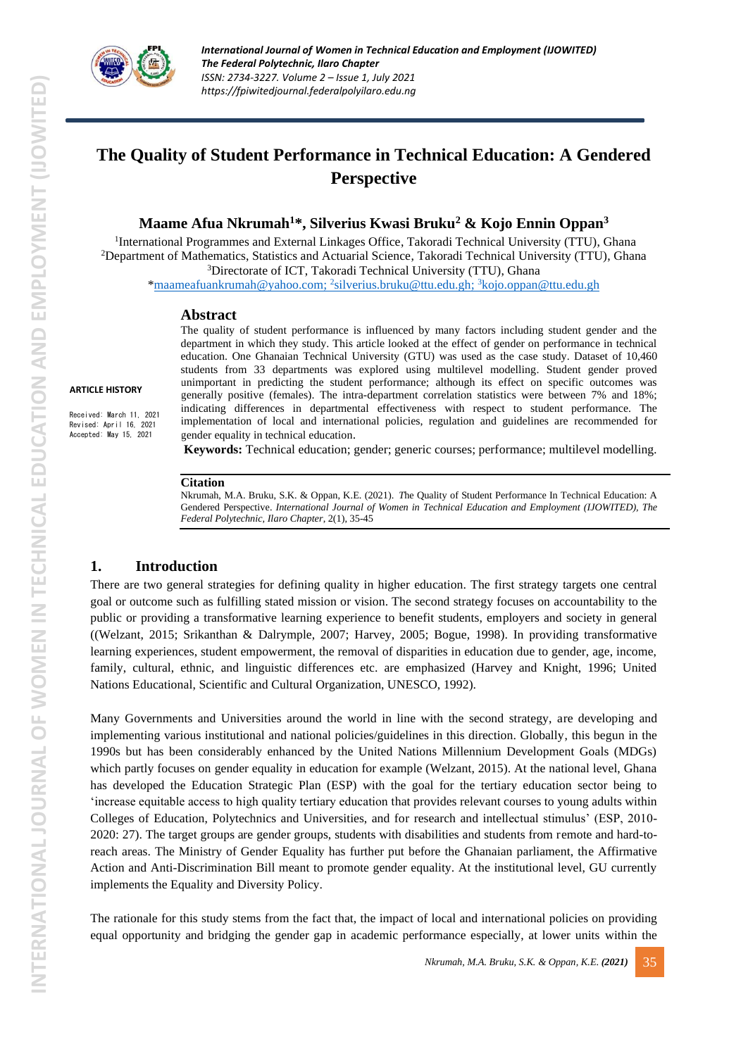

# **The Quality of Student Performance in Technical Education: A Gendered Perspective**

**Maame Afua Nkrumah<sup>1</sup>\*, Silverius Kwasi Bruku<sup>2</sup> & Kojo Ennin Oppan<sup>3</sup>**

<sup>1</sup>International Programmes and External Linkages Office, Takoradi Technical University (TTU), Ghana <sup>2</sup>Department of Mathematics, Statistics and Actuarial Science, Takoradi Technical University (TTU), Ghana <sup>3</sup>Directorate of ICT, Takoradi Technical University (TTU), Ghana

[\\*maameafuankrumah@yahoo.com;](mailto:maameafuankrumah@yahoo.com) <sup>2</sup> [silverius.bruku@ttu.edu.gh;](mailto:silverius.bruku@ttu.edu.gh) <sup>3</sup>[kojo.oppan@ttu.edu.gh](mailto:kojo.oppan@ttu.edu.gh)

#### **Abstract**

The quality of student performance is influenced by many factors including student gender and the department in which they study. This article looked at the effect of gender on performance in technical education. One Ghanaian Technical University (GTU) was used as the case study. Dataset of 10,460 students from 33 departments was explored using multilevel modelling. Student gender proved unimportant in predicting the student performance; although its effect on specific outcomes was generally positive (females). The intra-department correlation statistics were between 7% and 18%; indicating differences in departmental effectiveness with respect to student performance. The implementation of local and international policies, regulation and guidelines are recommended for gender equality in technical education.

**Keywords:** Technical education; gender; generic courses; performance; multilevel modelling*.* 

#### **Citation**

Nkrumah, M.A. Bruku, S.K. & Oppan, K.E. (2021). *T*he Quality of Student Performance In Technical Education: A Gendered Perspective. *International Journal of Women in Technical Education and Employment (IJOWITED), The Federal Polytechnic, Ilaro Chapter*, 2(1), 35-45

## **1. Introduction**

**ARTICLE HISTORY**

Received: March 11, 2021 Revised: April 16, 2021 Accepted: May 15, 2021

> There are two general strategies for defining quality in higher education. The first strategy targets one central goal or outcome such as fulfilling stated mission or vision. The second strategy focuses on accountability to the public or providing a transformative learning experience to benefit students, employers and society in general ((Welzant, 2015; Srikanthan & Dalrymple, 2007; Harvey, 2005; Bogue, 1998). In providing transformative learning experiences, student empowerment, the removal of disparities in education due to gender, age, income, family, cultural, ethnic, and linguistic differences etc. are emphasized (Harvey and Knight, 1996; United Nations Educational, Scientific and Cultural Organization, UNESCO, 1992).

> Many Governments and Universities around the world in line with the second strategy, are developing and implementing various institutional and national policies/guidelines in this direction. Globally, this begun in the 1990s but has been considerably enhanced by the United Nations Millennium Development Goals (MDGs) which partly focuses on gender equality in education for example (Welzant, 2015). At the national level, Ghana has developed the Education Strategic Plan (ESP) with the goal for the tertiary education sector being to 'increase equitable access to high quality tertiary education that provides relevant courses to young adults within Colleges of Education, Polytechnics and Universities, and for research and intellectual stimulus' (ESP, 2010- 2020: 27). The target groups are gender groups, students with disabilities and students from remote and hard-toreach areas. The Ministry of Gender Equality has further put before the Ghanaian parliament, the Affirmative Action and Anti-Discrimination Bill meant to promote gender equality. At the institutional level, GU currently implements the Equality and Diversity Policy.

> The rationale for this study stems from the fact that, the impact of local and international policies on providing equal opportunity and bridging the gender gap in academic performance especially, at lower units within the

TERNATIONAL JOURNAL OF WOMEN IN TECHNICAL EDUCATION AND EMPLOYMENT (IJOWITED) **INTERNATIONAL JOURNAL OF WOMEN IN TECHNICAL EDUCATION AND EMPLOYMENT (IJOWITED)**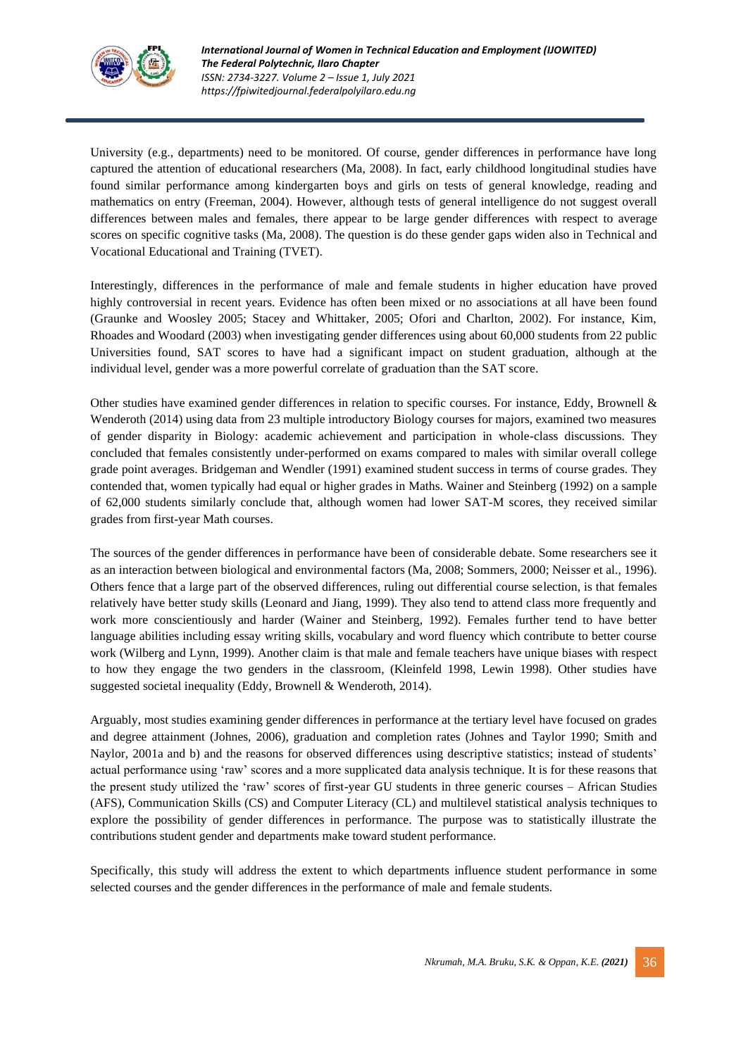

University (e.g., departments) need to be monitored. Of course, gender differences in performance have long captured the attention of educational researchers (Ma, 2008). In fact, early childhood longitudinal studies have found similar performance among kindergarten boys and girls on tests of general knowledge, reading and mathematics on entry (Freeman, 2004). However, although tests of general intelligence do not suggest overall differences between males and females, there appear to be large gender differences with respect to average scores on specific cognitive tasks (Ma, 2008). The question is do these gender gaps widen also in Technical and Vocational Educational and Training (TVET).

Interestingly, differences in the performance of male and female students in higher education have proved highly controversial in recent years. Evidence has often been mixed or no associations at all have been found (Graunke and Woosley 2005; Stacey and Whittaker, 2005; Ofori and Charlton, 2002). For instance, Kim, Rhoades and Woodard (2003) when investigating gender differences using about 60,000 students from 22 public Universities found, SAT scores to have had a significant impact on student graduation, although at the individual level, gender was a more powerful correlate of graduation than the SAT score.

Other studies have examined gender differences in relation to specific courses. For instance, Eddy, Brownell & Wenderoth (2014) using data from 23 multiple introductory Biology courses for majors, examined two measures of gender disparity in Biology: academic achievement and participation in whole-class discussions. They concluded that females consistently under-performed on exams compared to males with similar overall college grade point averages. Bridgeman and Wendler (1991) examined student success in terms of course grades. They contended that, women typically had equal or higher grades in Maths. Wainer and Steinberg (1992) on a sample of 62,000 students similarly conclude that, although women had lower SAT-M scores, they received similar grades from first-year Math courses.

The sources of the gender differences in performance have been of considerable debate. Some researchers see it as an interaction between biological and environmental factors (Ma, 2008; Sommers, 2000; Neisser et al., 1996). Others fence that a large part of the observed differences, ruling out differential course selection, is that females relatively have better study skills (Leonard and Jiang, 1999). They also tend to attend class more frequently and work more conscientiously and harder (Wainer and Steinberg, 1992). Females further tend to have better language abilities including essay writing skills, vocabulary and word fluency which contribute to better course work (Wilberg and Lynn, 1999). Another claim is that male and female teachers have unique biases with respect to how they engage the two genders in the classroom, (Kleinfeld 1998, Lewin 1998). Other studies have suggested societal inequality (Eddy, Brownell & Wenderoth, 2014).

Arguably, most studies examining gender differences in performance at the tertiary level have focused on grades and degree attainment (Johnes, 2006), graduation and completion rates (Johnes and Taylor 1990; Smith and Naylor, 2001a and b) and the reasons for observed differences using descriptive statistics; instead of students' actual performance using 'raw' scores and a more supplicated data analysis technique. It is for these reasons that the present study utilized the 'raw' scores of first-year GU students in three generic courses – African Studies (AFS), Communication Skills (CS) and Computer Literacy (CL) and multilevel statistical analysis techniques to explore the possibility of gender differences in performance. The purpose was to statistically illustrate the contributions student gender and departments make toward student performance.

Specifically, this study will address the extent to which departments influence student performance in some selected courses and the gender differences in the performance of male and female students.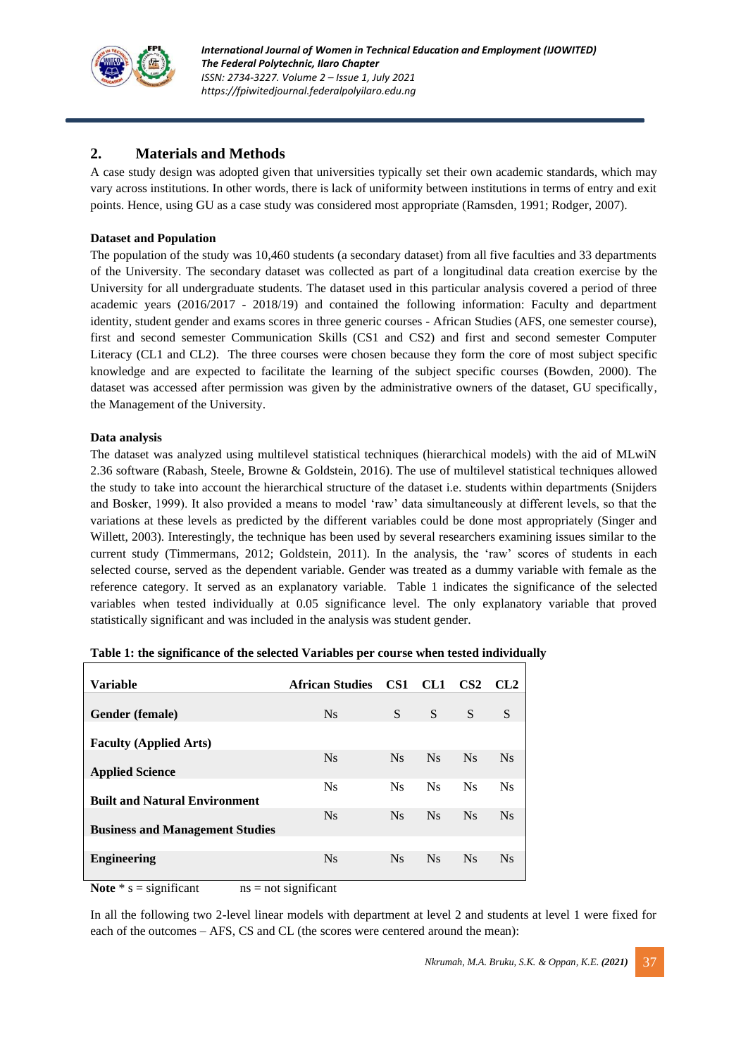

## **2. Materials and Methods**

A case study design was adopted given that universities typically set their own academic standards, which may vary across institutions. In other words, there is lack of uniformity between institutions in terms of entry and exit points. Hence, using GU as a case study was considered most appropriate (Ramsden, 1991; Rodger, 2007).

#### **Dataset and Population**

The population of the study was 10,460 students (a secondary dataset) from all five faculties and 33 departments of the University. The secondary dataset was collected as part of a longitudinal data creation exercise by the University for all undergraduate students. The dataset used in this particular analysis covered a period of three academic years (2016/2017 - 2018/19) and contained the following information: Faculty and department identity, student gender and exams scores in three generic courses - African Studies (AFS, one semester course), first and second semester Communication Skills (CS1 and CS2) and first and second semester Computer Literacy (CL1 and CL2). The three courses were chosen because they form the core of most subject specific knowledge and are expected to facilitate the learning of the subject specific courses (Bowden, 2000). The dataset was accessed after permission was given by the administrative owners of the dataset, GU specifically, the Management of the University.

#### **Data analysis**

The dataset was analyzed using multilevel statistical techniques (hierarchical models) with the aid of MLwiN 2.36 software (Rabash, Steele, Browne & Goldstein, 2016). The use of multilevel statistical techniques allowed the study to take into account the hierarchical structure of the dataset i.e. students within departments (Snijders and Bosker, 1999). It also provided a means to model 'raw' data simultaneously at different levels, so that the variations at these levels as predicted by the different variables could be done most appropriately (Singer and Willett, 2003). Interestingly, the technique has been used by several researchers examining issues similar to the current study (Timmermans, 2012; Goldstein, 2011). In the analysis, the 'raw' scores of students in each selected course, served as the dependent variable. Gender was treated as a dummy variable with female as the reference category. It served as an explanatory variable. Table 1 indicates the significance of the selected variables when tested individually at 0.05 significance level. The only explanatory variable that proved statistically significant and was included in the analysis was student gender.

| <b>Variable</b>                                                                   | <b>African Studies</b>                 | CS <sub>1</sub> | CL <sub>1</sub> | CS <sub>2</sub> | CL <sub>2</sub> |
|-----------------------------------------------------------------------------------|----------------------------------------|-----------------|-----------------|-----------------|-----------------|
| Gender (female)                                                                   | <b>Ns</b>                              | S               | S               | S               | S               |
|                                                                                   |                                        |                 |                 |                 |                 |
| <b>Faculty (Applied Arts)</b>                                                     | $N_{S}$                                | <b>Ns</b>       | <b>Ns</b>       | <b>Ns</b>       | $N_{S}$         |
| <b>Applied Science</b>                                                            | N <sub>S</sub>                         | <b>Ns</b>       | $N_{S}$         | N <sub>S</sub>  | <b>Ns</b>       |
| <b>Built and Natural Environment</b>                                              | $N_{S}$                                | <b>Ns</b>       | N <sub>S</sub>  | <b>Ns</b>       | $N_{S}$         |
| <b>Business and Management Studies</b>                                            |                                        |                 |                 |                 |                 |
| <b>Engineering</b>                                                                | $N_{S}$                                | <b>Ns</b>       | <b>Ns</b>       | <b>Ns</b>       | <b>Ns</b>       |
| $\cdot$ $\sim$<br>$\mathbf{X}$ and $\mathbf{X}$ and $\mathbf{X}$ and $\mathbf{X}$ | $\sim$ $\sim$ $\sim$<br>$\cdot$ $\sim$ |                 |                 |                 |                 |

| Table 1: the significance of the selected Variables per course when tested individually |  |  |  |
|-----------------------------------------------------------------------------------------|--|--|--|
|                                                                                         |  |  |  |

**Note**  $*$  s = significant ns = not significant

In all the following two 2-level linear models with department at level 2 and students at level 1 were fixed for each of the outcomes – AFS, CS and CL (the scores were centered around the mean):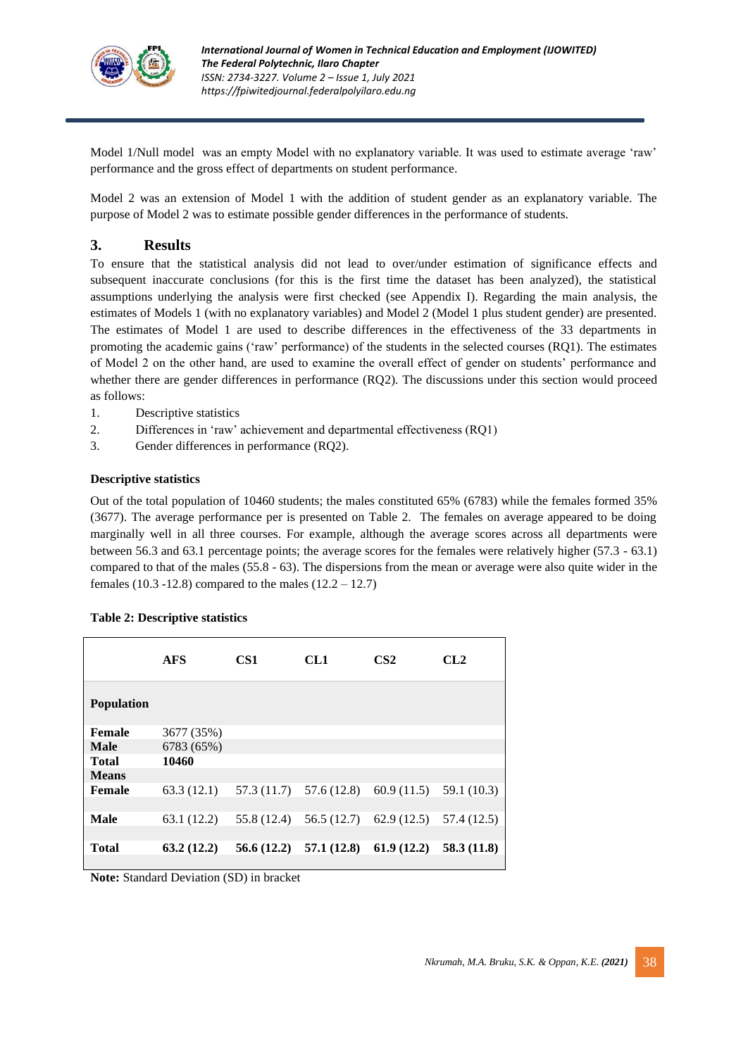

Model 1/Null model was an empty Model with no explanatory variable. It was used to estimate average 'raw' performance and the gross effect of departments on student performance.

Model 2 was an extension of Model 1 with the addition of student gender as an explanatory variable. The purpose of Model 2 was to estimate possible gender differences in the performance of students.

## **3. Results**

To ensure that the statistical analysis did not lead to over/under estimation of significance effects and subsequent inaccurate conclusions (for this is the first time the dataset has been analyzed), the statistical assumptions underlying the analysis were first checked (see Appendix I). Regarding the main analysis, the estimates of Models 1 (with no explanatory variables) and Model 2 (Model 1 plus student gender) are presented. The estimates of Model 1 are used to describe differences in the effectiveness of the 33 departments in promoting the academic gains ('raw' performance) of the students in the selected courses (RQ1). The estimates of Model 2 on the other hand, are used to examine the overall effect of gender on students' performance and whether there are gender differences in performance (RQ2). The discussions under this section would proceed as follows:

- 1. Descriptive statistics
- 2. Differences in 'raw' achievement and departmental effectiveness (RQ1)
- 3. Gender differences in performance (RQ2).

#### **Descriptive statistics**

Out of the total population of 10460 students; the males constituted 65% (6783) while the females formed 35% (3677). The average performance per is presented on Table 2. The females on average appeared to be doing marginally well in all three courses. For example, although the average scores across all departments were between 56.3 and 63.1 percentage points; the average scores for the females were relatively higher (57.3 - 63.1) compared to that of the males (55.8 - 63). The dispersions from the mean or average were also quite wider in the females (10.3 -12.8) compared to the males  $(12.2 – 12.7)$ 

|                   | <b>AFS</b>  | CS <sub>1</sub> | CL1                       | CS <sub>2</sub>          | CL <sub>2</sub> |
|-------------------|-------------|-----------------|---------------------------|--------------------------|-----------------|
| <b>Population</b> |             |                 |                           |                          |                 |
| Female            | 3677 (35%)  |                 |                           |                          |                 |
| <b>Male</b>       | 6783 (65%)  |                 |                           |                          |                 |
| <b>Total</b>      | 10460       |                 |                           |                          |                 |
| <b>Means</b>      |             |                 |                           |                          |                 |
| Female            | 63.3(12.1)  |                 | $57.3(11.7)$ $57.6(12.8)$ | 60.9(11.5)               | 59.1 (10.3)     |
|                   |             |                 |                           |                          |                 |
| <b>Male</b>       | 63.1 (12.2) | 55.8 (12.4)     |                           | $56.5(12.7)$ 62.9 (12.5) | 57.4 (12.5)     |
|                   |             |                 |                           |                          |                 |
| <b>Total</b>      | 63.2(12.2)  | 56.6(12.2)      | 57.1 (12.8)               | 61.9(12.2)               | 58.3(11.8)      |
|                   |             |                 |                           |                          |                 |

#### **Table 2: Descriptive statistics**

**Note:** Standard Deviation (SD) in bracket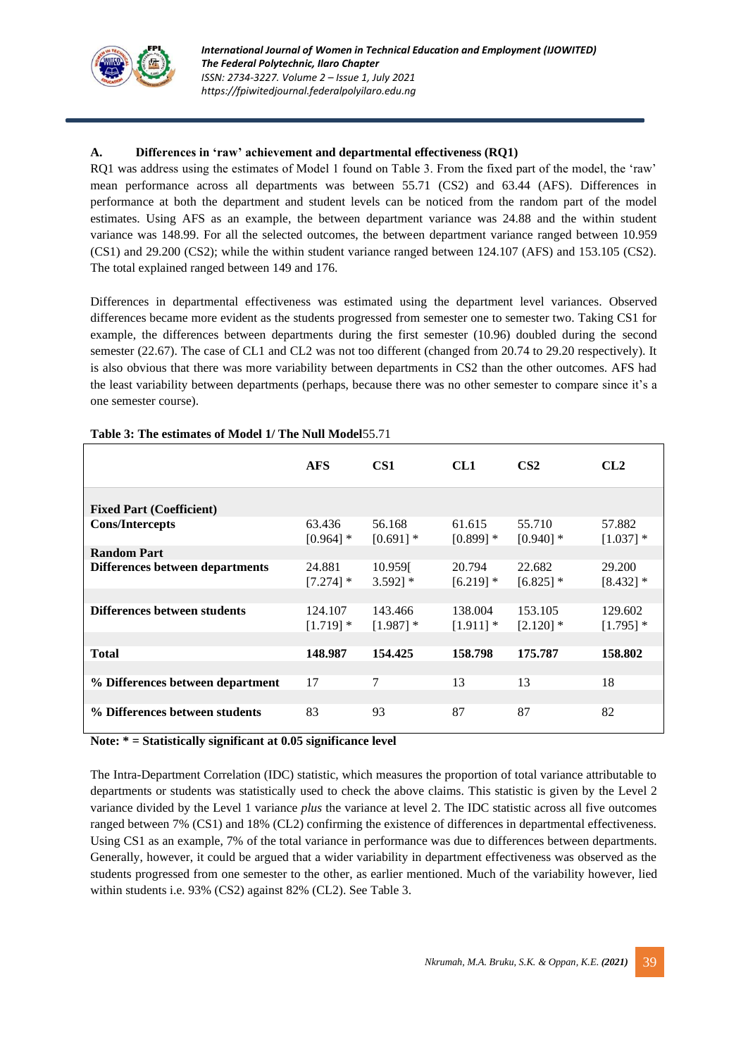

### **A. Differences in 'raw' achievement and departmental effectiveness (RQ1)**

RQ1 was address using the estimates of Model 1 found on Table 3. From the fixed part of the model, the 'raw' mean performance across all departments was between 55.71 (CS2) and 63.44 (AFS). Differences in performance at both the department and student levels can be noticed from the random part of the model estimates. Using AFS as an example, the between department variance was 24.88 and the within student variance was 148.99. For all the selected outcomes, the between department variance ranged between 10.959 (CS1) and 29.200 (CS2); while the within student variance ranged between 124.107 (AFS) and 153.105 (CS2). The total explained ranged between 149 and 176.

Differences in departmental effectiveness was estimated using the department level variances. Observed differences became more evident as the students progressed from semester one to semester two. Taking CS1 for example, the differences between departments during the first semester (10.96) doubled during the second semester (22.67). The case of CL1 and CL2 was not too different (changed from 20.74 to 29.20 respectively). It is also obvious that there was more variability between departments in CS2 than the other outcomes. AFS had the least variability between departments (perhaps, because there was no other semester to compare since it's a one semester course).

|                                  | <b>AFS</b>             | CS <sub>1</sub>        | CL1                    | CS <sub>2</sub>        | CL2                    |
|----------------------------------|------------------------|------------------------|------------------------|------------------------|------------------------|
| <b>Fixed Part (Coefficient)</b>  |                        |                        |                        |                        |                        |
| <b>Cons/Intercepts</b>           | 63.436<br>$[0.964]$ *  | 56.168<br>$[0.691]$ *  | 61.615<br>$[0.899]$ *  | 55.710<br>$[0.940]$ *  | 57.882<br>$[1.037]$ *  |
| <b>Random Part</b>               |                        |                        |                        |                        |                        |
| Differences between departments  | 24.881<br>$[7.274]$ *  | 10.9591<br>$3.592$ ] * | 20.794<br>$[6.219]$ *  | 22.682<br>$[6.825]$ *  | 29.200<br>$[8.432]$ *  |
|                                  |                        |                        |                        |                        |                        |
| Differences between students     | 124.107<br>$[1.719]$ * | 143.466<br>$[1.987]$ * | 138.004<br>$[1.911]$ * | 153.105<br>$[2.120]$ * | 129.602<br>$[1.795]$ * |
|                                  |                        |                        |                        |                        |                        |
| <b>Total</b>                     | 148.987                | 154.425                | 158.798                | 175.787                | 158.802                |
|                                  |                        |                        |                        |                        |                        |
| % Differences between department | 17                     | 7                      | 13                     | 13                     | 18                     |
|                                  |                        |                        |                        |                        |                        |
| % Differences between students   | 83                     | 93                     | 87                     | 87                     | 82                     |

#### **Table 3: The estimates of Model 1/ The Null Model**55.71

**Note: \* = Statistically significant at 0.05 significance level** 

The Intra-Department Correlation (IDC) statistic, which measures the proportion of total variance attributable to departments or students was statistically used to check the above claims. This statistic is given by the Level 2 variance divided by the Level 1 variance *plus* the variance at level 2. The IDC statistic across all five outcomes ranged between 7% (CS1) and 18% (CL2) confirming the existence of differences in departmental effectiveness. Using CS1 as an example, 7% of the total variance in performance was due to differences between departments. Generally, however, it could be argued that a wider variability in department effectiveness was observed as the students progressed from one semester to the other, as earlier mentioned. Much of the variability however, lied within students i.e. 93% (CS2) against 82% (CL2). See Table 3.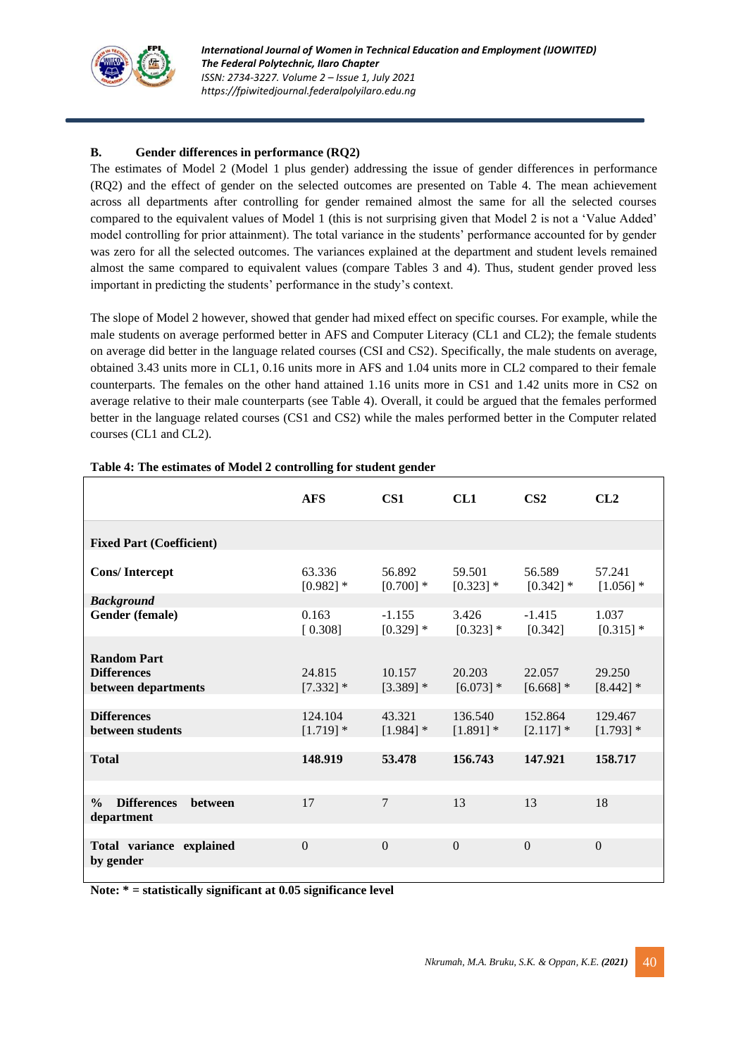

## **B. Gender differences in performance (RQ2)**

The estimates of Model 2 (Model 1 plus gender) addressing the issue of gender differences in performance (RQ2) and the effect of gender on the selected outcomes are presented on Table 4. The mean achievement across all departments after controlling for gender remained almost the same for all the selected courses compared to the equivalent values of Model 1 (this is not surprising given that Model 2 is not a 'Value Added' model controlling for prior attainment). The total variance in the students' performance accounted for by gender was zero for all the selected outcomes. The variances explained at the department and student levels remained almost the same compared to equivalent values (compare Tables 3 and 4). Thus, student gender proved less important in predicting the students' performance in the study's context.

The slope of Model 2 however, showed that gender had mixed effect on specific courses. For example, while the male students on average performed better in AFS and Computer Literacy (CL1 and CL2); the female students on average did better in the language related courses (CSI and CS2). Specifically, the male students on average, obtained 3.43 units more in CL1, 0.16 units more in AFS and 1.04 units more in CL2 compared to their female counterparts. The females on the other hand attained 1.16 units more in CS1 and 1.42 units more in CS2 on average relative to their male counterparts (see Table 4). Overall, it could be argued that the females performed better in the language related courses (CS1 and CS2) while the males performed better in the Computer related courses (CL1 and CL2).

|                                                                     | <b>AFS</b>             | CS <sub>1</sub>         | CL1                    | CS <sub>2</sub>        | CL2                    |
|---------------------------------------------------------------------|------------------------|-------------------------|------------------------|------------------------|------------------------|
| <b>Fixed Part (Coefficient)</b>                                     |                        |                         |                        |                        |                        |
| <b>Cons/Intercept</b>                                               | 63.336<br>$[0.982]$ *  | 56.892<br>$[0.700]$ *   | 59.501<br>$[0.323]$ *  | 56.589<br>$[0.342]$ *  | 57.241<br>$[1.056]$ *  |
| <b>Background</b><br>Gender (female)                                | 0.163<br>[0.308]       | $-1.155$<br>$[0.329]$ * | 3.426<br>$[0.323]$ *   | $-1.415$<br>[0.342]    | 1.037<br>$[0.315]$ *   |
| <b>Random Part</b><br><b>Differences</b><br>between departments     | 24.815<br>$[7.332]$ *  | 10.157<br>$[3.389]$ *   | 20.203<br>$[6.073]$ *  | 22,057<br>$[6.668]$ *  | 29.250<br>$[8.442]$ *  |
| <b>Differences</b><br>between students                              | 124.104<br>$[1.719]$ * | 43.321<br>$[1.984]$ *   | 136.540<br>$[1.891]$ * | 152.864<br>$[2.117]$ * | 129.467<br>$[1.793]$ * |
| <b>Total</b>                                                        | 148.919                | 53.478                  | 156.743                | 147.921                | 158.717                |
| <b>Differences</b><br><b>between</b><br>$\frac{0}{0}$<br>department | 17                     | 7                       | 13                     | 13                     | 18                     |
| Total variance explained<br>by gender                               | $\Omega$               | $\theta$                | $\Omega$               | $\Omega$               | $\Omega$               |
|                                                                     |                        |                         |                        |                        |                        |

#### **Table 4: The estimates of Model 2 controlling for student gender**

**Note: \* = statistically significant at 0.05 significance level**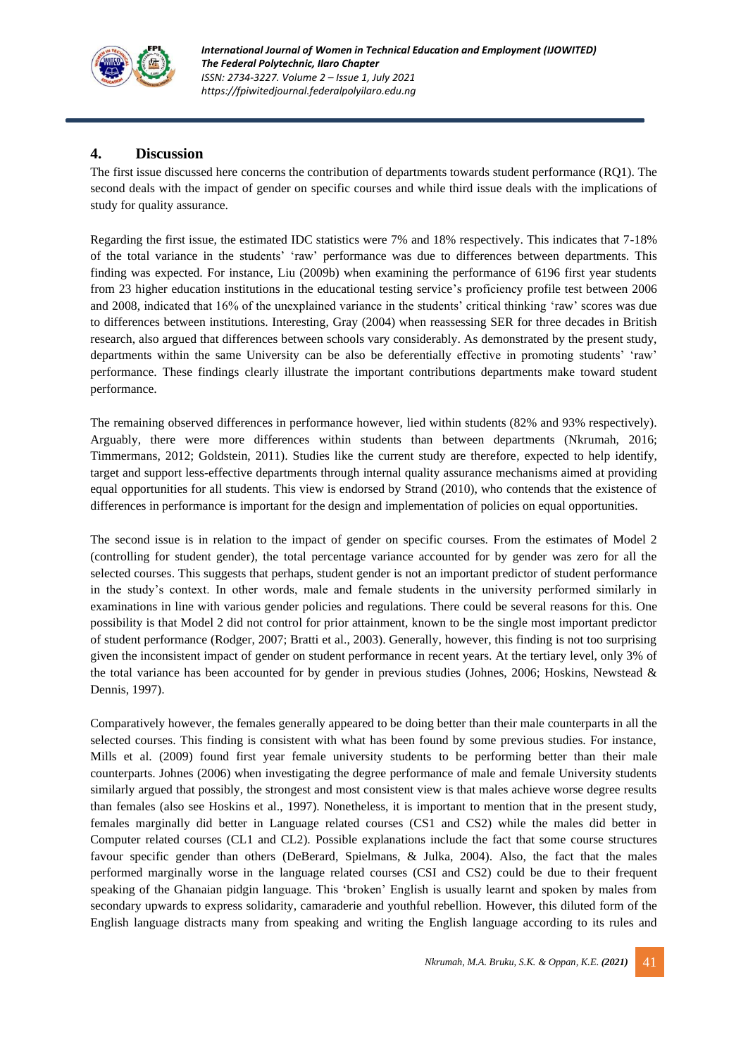

## **4. Discussion**

The first issue discussed here concerns the contribution of departments towards student performance (RQ1). The second deals with the impact of gender on specific courses and while third issue deals with the implications of study for quality assurance.

Regarding the first issue, the estimated IDC statistics were 7% and 18% respectively. This indicates that 7-18% of the total variance in the students' 'raw' performance was due to differences between departments. This finding was expected. For instance, Liu (2009b) when examining the performance of 6196 first year students from 23 higher education institutions in the educational testing service's proficiency profile test between 2006 and 2008, indicated that 16% of the unexplained variance in the students' critical thinking 'raw' scores was due to differences between institutions. Interesting, Gray (2004) when reassessing SER for three decades in British research, also argued that differences between schools vary considerably. As demonstrated by the present study, departments within the same University can be also be deferentially effective in promoting students' 'raw' performance. These findings clearly illustrate the important contributions departments make toward student performance.

The remaining observed differences in performance however, lied within students (82% and 93% respectively). Arguably, there were more differences within students than between departments (Nkrumah, 2016; Timmermans, 2012; Goldstein, 2011). Studies like the current study are therefore, expected to help identify, target and support less-effective departments through internal quality assurance mechanisms aimed at providing equal opportunities for all students. This view is endorsed by Strand (2010), who contends that the existence of differences in performance is important for the design and implementation of policies on equal opportunities.

The second issue is in relation to the impact of gender on specific courses. From the estimates of Model 2 (controlling for student gender), the total percentage variance accounted for by gender was zero for all the selected courses. This suggests that perhaps, student gender is not an important predictor of student performance in the study's context. In other words, male and female students in the university performed similarly in examinations in line with various gender policies and regulations. There could be several reasons for this. One possibility is that Model 2 did not control for prior attainment, known to be the single most important predictor of student performance (Rodger, 2007; Bratti et al., 2003). Generally, however, this finding is not too surprising given the inconsistent impact of gender on student performance in recent years. At the tertiary level, only 3% of the total variance has been accounted for by gender in previous studies (Johnes, 2006; Hoskins, Newstead & Dennis, 1997).

Comparatively however, the females generally appeared to be doing better than their male counterparts in all the selected courses. This finding is consistent with what has been found by some previous studies. For instance, Mills et al. (2009) found first year female university students to be performing better than their male counterparts. Johnes (2006) when investigating the degree performance of male and female University students similarly argued that possibly, the strongest and most consistent view is that males achieve worse degree results than females (also see Hoskins et al., 1997). Nonetheless, it is important to mention that in the present study, females marginally did better in Language related courses (CS1 and CS2) while the males did better in Computer related courses (CL1 and CL2). Possible explanations include the fact that some course structures favour specific gender than others (DeBerard, Spielmans, & Julka, 2004). Also, the fact that the males performed marginally worse in the language related courses (CSI and CS2) could be due to their frequent speaking of the Ghanaian pidgin language. This 'broken' English is usually learnt and spoken by males from secondary upwards to express solidarity, camaraderie and youthful rebellion. However, this diluted form of the English language distracts many from speaking and writing the English language according to its rules and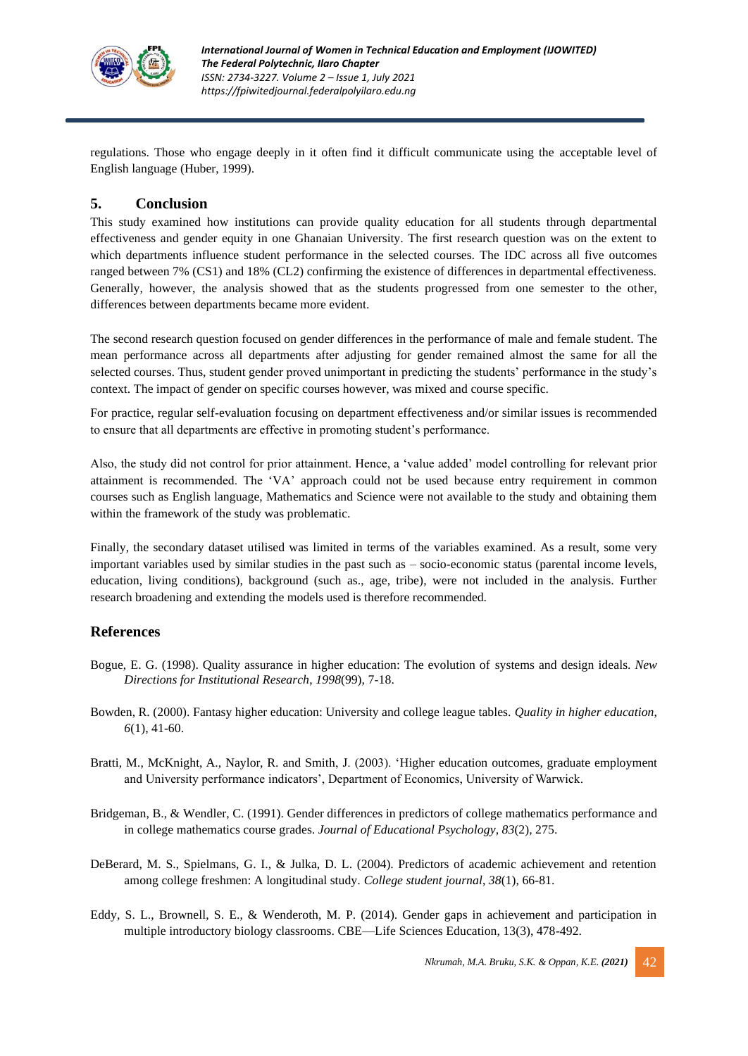

regulations. Those who engage deeply in it often find it difficult communicate using the acceptable level of English language (Huber, 1999).

## **5. Conclusion**

This study examined how institutions can provide quality education for all students through departmental effectiveness and gender equity in one Ghanaian University. The first research question was on the extent to which departments influence student performance in the selected courses. The IDC across all five outcomes ranged between 7% (CS1) and 18% (CL2) confirming the existence of differences in departmental effectiveness. Generally, however, the analysis showed that as the students progressed from one semester to the other, differences between departments became more evident.

The second research question focused on gender differences in the performance of male and female student. The mean performance across all departments after adjusting for gender remained almost the same for all the selected courses. Thus, student gender proved unimportant in predicting the students' performance in the study's context. The impact of gender on specific courses however, was mixed and course specific.

For practice, regular self-evaluation focusing on department effectiveness and/or similar issues is recommended to ensure that all departments are effective in promoting student's performance.

Also, the study did not control for prior attainment. Hence, a 'value added' model controlling for relevant prior attainment is recommended. The 'VA' approach could not be used because entry requirement in common courses such as English language, Mathematics and Science were not available to the study and obtaining them within the framework of the study was problematic.

Finally, the secondary dataset utilised was limited in terms of the variables examined. As a result, some very important variables used by similar studies in the past such as – socio-economic status (parental income levels, education, living conditions), background (such as., age, tribe), were not included in the analysis. Further research broadening and extending the models used is therefore recommended.

## **References**

- Bogue, E. G. (1998). Quality assurance in higher education: The evolution of systems and design ideals. *New Directions for Institutional Research*, *1998*(99), 7-18.
- Bowden, R. (2000). Fantasy higher education: University and college league tables. *Quality in higher education*, *6*(1), 41-60.
- Bratti, M., McKnight, A., Naylor, R. and Smith, J. (2003). 'Higher education outcomes, graduate employment and University performance indicators', Department of Economics, University of Warwick.
- Bridgeman, B., & Wendler, C. (1991). Gender differences in predictors of college mathematics performance and in college mathematics course grades. *Journal of Educational Psychology*, *83*(2), 275.
- DeBerard, M. S., Spielmans, G. I., & Julka, D. L. (2004). Predictors of academic achievement and retention among college freshmen: A longitudinal study. *College student journal*, *38*(1), 66-81.
- Eddy, S. L., Brownell, S. E., & Wenderoth, M. P. (2014). Gender gaps in achievement and participation in multiple introductory biology classrooms. CBE—Life Sciences Education, 13(3), 478-492.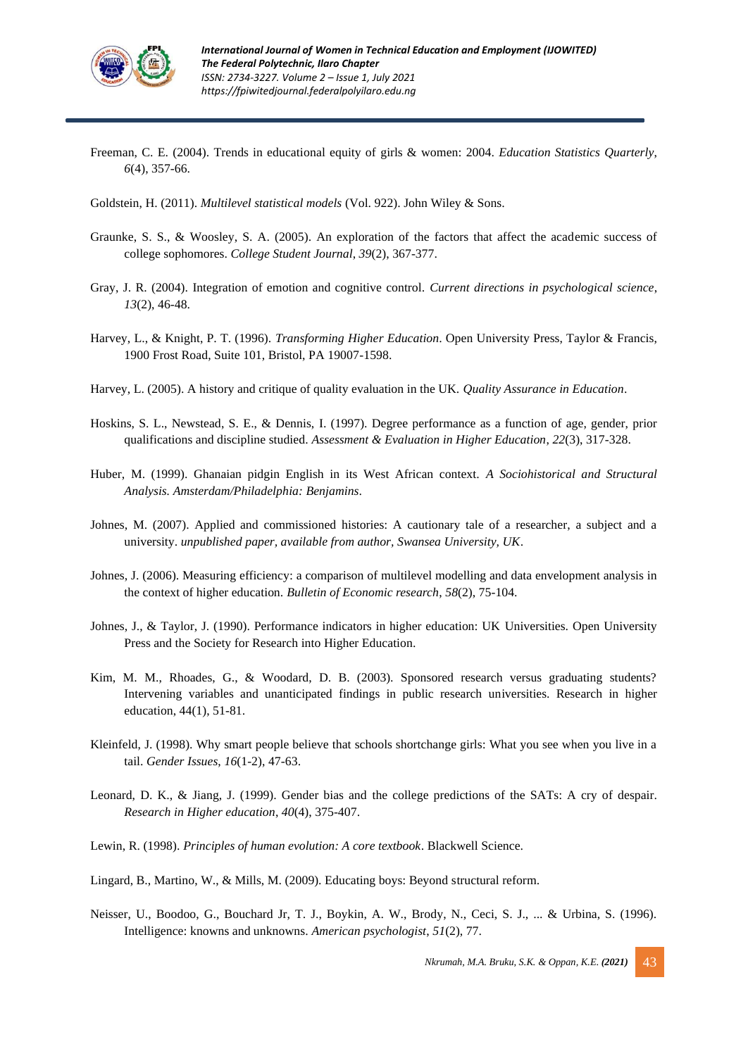

- Freeman, C. E. (2004). Trends in educational equity of girls & women: 2004. *Education Statistics Quarterly*, *6*(4), 357-66.
- Goldstein, H. (2011). *Multilevel statistical models* (Vol. 922). John Wiley & Sons.
- Graunke, S. S., & Woosley, S. A. (2005). An exploration of the factors that affect the academic success of college sophomores. *College Student Journal*, *39*(2), 367-377.
- Gray, J. R. (2004). Integration of emotion and cognitive control. *Current directions in psychological science*, *13*(2), 46-48.
- Harvey, L., & Knight, P. T. (1996). *Transforming Higher Education*. Open University Press, Taylor & Francis, 1900 Frost Road, Suite 101, Bristol, PA 19007-1598.
- Harvey, L. (2005). A history and critique of quality evaluation in the UK. *Quality Assurance in Education*.
- Hoskins, S. L., Newstead, S. E., & Dennis, I. (1997). Degree performance as a function of age, gender, prior qualifications and discipline studied. *Assessment & Evaluation in Higher Education*, *22*(3), 317-328.
- Huber, M. (1999). Ghanaian pidgin English in its West African context. *A Sociohistorical and Structural Analysis. Amsterdam/Philadelphia: Benjamins*.
- Johnes, M. (2007). Applied and commissioned histories: A cautionary tale of a researcher, a subject and a university. *unpublished paper, available from author, Swansea University, UK*.
- Johnes, J. (2006). Measuring efficiency: a comparison of multilevel modelling and data envelopment analysis in the context of higher education. *Bulletin of Economic research*, *58*(2), 75-104.
- Johnes, J., & Taylor, J. (1990). Performance indicators in higher education: UK Universities. Open University Press and the Society for Research into Higher Education.
- Kim, M. M., Rhoades, G., & Woodard, D. B. (2003). Sponsored research versus graduating students? Intervening variables and unanticipated findings in public research universities. Research in higher education, 44(1), 51-81.
- Kleinfeld, J. (1998). Why smart people believe that schools shortchange girls: What you see when you live in a tail. *Gender Issues*, *16*(1-2), 47-63.
- Leonard, D. K., & Jiang, J. (1999). Gender bias and the college predictions of the SATs: A cry of despair. *Research in Higher education*, *40*(4), 375-407.
- Lewin, R. (1998). *Principles of human evolution: A core textbook*. Blackwell Science.
- Lingard, B., Martino, W., & Mills, M. (2009). Educating boys: Beyond structural reform.
- Neisser, U., Boodoo, G., Bouchard Jr, T. J., Boykin, A. W., Brody, N., Ceci, S. J., ... & Urbina, S. (1996). Intelligence: knowns and unknowns. *American psychologist*, *51*(2), 77.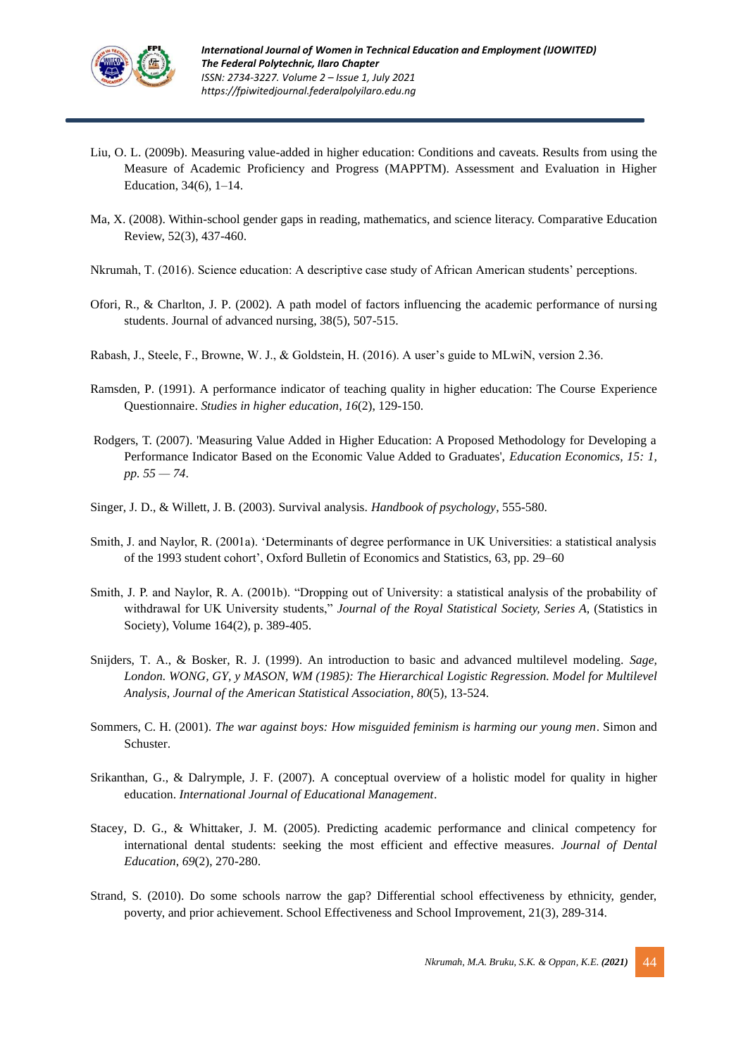

- Liu, O. L. (2009b). Measuring value-added in higher education: Conditions and caveats. Results from using the Measure of Academic Proficiency and Progress (MAPPTM). Assessment and Evaluation in Higher Education, 34(6), 1–14.
- Ma, X. (2008). Within-school gender gaps in reading, mathematics, and science literacy. Comparative Education Review, 52(3), 437-460.
- Nkrumah, T. (2016). Science education: A descriptive case study of African American students' perceptions.
- Ofori, R., & Charlton, J. P. (2002). A path model of factors influencing the academic performance of nursing students. Journal of advanced nursing, 38(5), 507-515.
- Rabash, J., Steele, F., Browne, W. J., & Goldstein, H. (2016). A user's guide to MLwiN, version 2.36.
- Ramsden, P. (1991). A performance indicator of teaching quality in higher education: The Course Experience Questionnaire. *Studies in higher education*, *16*(2), 129-150.
- Rodgers, T. (2007). 'Measuring Value Added in Higher Education: A Proposed Methodology for Developing a Performance Indicator Based on the Economic Value Added to Graduates', *Education Economics, 15: 1, pp. 55 — 74*.
- Singer, J. D., & Willett, J. B. (2003). Survival analysis. *Handbook of psychology*, 555-580.
- Smith, J. and Naylor, R. (2001a). 'Determinants of degree performance in UK Universities: a statistical analysis of the 1993 student cohort', Oxford Bulletin of Economics and Statistics, 63, pp. 29–60
- Smith, J. P. and Naylor, R. A. (2001b). "Dropping out of University: a statistical analysis of the probability of withdrawal for UK University students," *Journal of the Royal Statistical Society, Series A,* (Statistics in Society), Volume 164(2), p. 389-405.
- Snijders, T. A., & Bosker, R. J. (1999). An introduction to basic and advanced multilevel modeling. *Sage, London. WONG, GY, y MASON, WM (1985): The Hierarchical Logistic Regression. Model for Multilevel Analysis, Journal of the American Statistical Association*, *80*(5), 13-524.
- Sommers, C. H. (2001). *The war against boys: How misguided feminism is harming our young men*. Simon and Schuster.
- Srikanthan, G., & Dalrymple, J. F. (2007). A conceptual overview of a holistic model for quality in higher education. *International Journal of Educational Management*.
- Stacey, D. G., & Whittaker, J. M. (2005). Predicting academic performance and clinical competency for international dental students: seeking the most efficient and effective measures. *Journal of Dental Education*, *69*(2), 270-280.
- Strand, S. (2010). Do some schools narrow the gap? Differential school effectiveness by ethnicity, gender, poverty, and prior achievement. School Effectiveness and School Improvement, 21(3), 289-314.